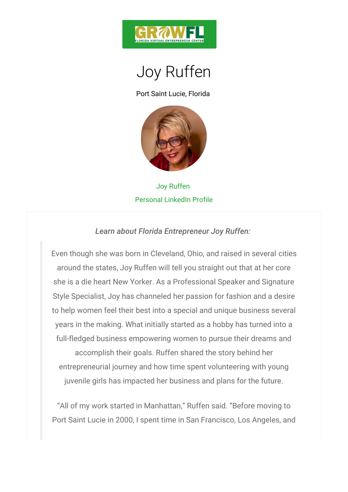

## Joy Ruffen

Port Saint Lucie, Florida

## Joy Ruffen Personal LinkedIn Profile

Learn about Florida Entrepreneur Joy Ruffen:

Even though she was born in Cleveland, Ochitogsand raised in the union several control in the vertex of the several control of the several control of the several control of the several control of the several control of the around the states, Joy Ruffen will tell you straight o she is a die heart New Yorker. As a Professional Speaker Style Specialist, Joy has channeled her passion for fashion and a desired and a desired and a Style to help women feel their best into a special and unique years in the making. What initially started as a hobby full-fledged business empowering women to pursue the accomplish their goals. Ruffen shared the story b entrepreneurial journey and how time spent voluntee juvenile girls has impacted her business and plans

All of my work started in Manhattan, Ruffen said. Before moving to moving the moving to moving the moving to moving to moving the moving to moving the moving to moving the moving to moving the moving to moving the moving t Port Saint Lucie in 2000, I spent time in San Francisc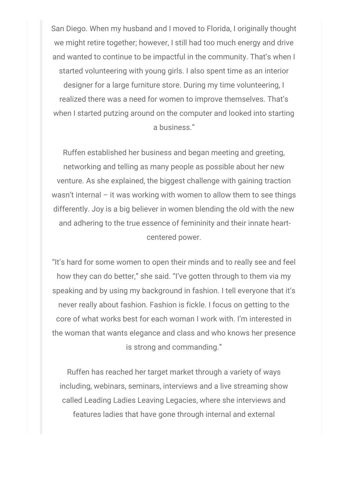San Diego. When my husband and I moved to Florida, I originally thought we might retire together; however, I still had too much energy and drive and wanted to continue to be impactful in the community. That's when I started volunteering with young girls. I also spent time as an interior designer for a large furniture store. During my time volunteering, I realized there was a need for women to improve themselves. That's when I started putzing around on the computer and looked into starting a business."

Ruffen established her business and began meeting and greeting, networking and telling as many people as possible about her new venture. As she explained, the biggest challenge with gaining traction wasn't internal – it was working with women to allow them to see things differently. Joy is a big believer in women blending the old with the new and adhering to the true essence of femininity and their innate heartcentered power.

"It's hard for some women to open their minds and to really see and feel how they can do better," she said. "I've gotten through to them via my speaking and by using my background in fashion. I tell everyone that it's never really about fashion. Fashion is fickle. I focus on getting to the core of what works best for each woman I work with. I'm interested in the woman that wants elegance and class and who knows her presence is strong and commanding."

Ruffen has reached her target market through a variety of ways including, webinars, seminars, interviews and a live streaming show called Leading Ladies Leaving Legacies, where she interviews and features ladies that have gone through internal and external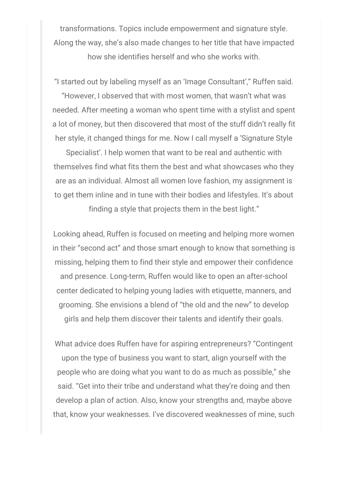transformations. Topics include empowerment and signature style. Along the way, she's also made changes to her title that have impacted how she identifies herself and who she works with.

"I started out by labeling myself as an 'Image Consultant'," Ruffen said.

"However, I observed that with most women, that wasn't what was needed. After meeting a woman who spent time with a stylist and spent a lot of money, but then discovered that most of the stuff didn't really fit her style, it changed things for me. Now I call myself a 'Signature Style

Specialist'. I help women that want to be real and authentic with themselves find what fits them the best and what showcases who they are as an individual. Almost all women love fashion, my assignment is to get them inline and in tune with their bodies and lifestyles. It's about finding a style that projects them in the best light."

Looking ahead, Ruffen is focused on meeting and helping more women in their "second act" and those smart enough to know that something is missing, helping them to find their style and empower their confidence and presence. Long-term, Ruffen would like to open an after-school center dedicated to helping young ladies with etiquette, manners, and grooming. She envisions a blend of "the old and the new" to develop girls and help them discover their talents and identify their goals.

What advice does Ruffen have for aspiring entrepreneurs? "Contingent upon the type of business you want to start, align yourself with the people who are doing what you want to do as much as possible," she said. "Get into their tribe and understand what they're doing and then develop a plan of action. Also, know your strengths and, maybe above that, know your weaknesses. I've discovered weaknesses of mine, such